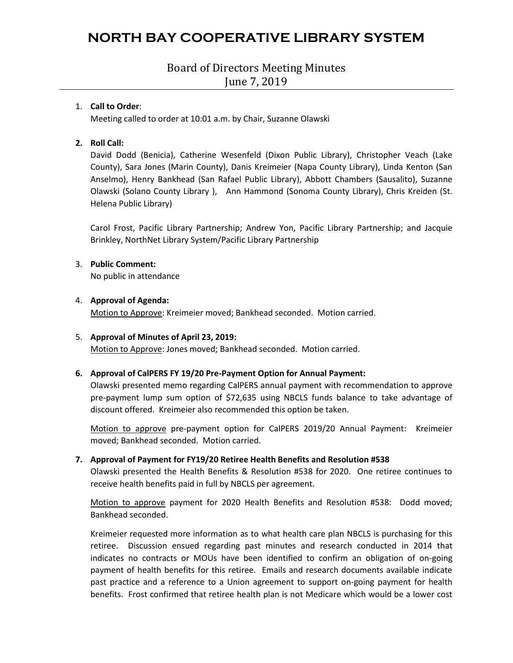## Board of Directors Meeting Minutes June 7, 2019

### 1. **Call to Order**:

Meeting called to order at 10:01 a.m. by Chair, Suzanne Olawski

### **2. Roll Call:**

David Dodd (Benicia), Catherine Wesenfeld (Dixon Public Library), Christopher Veach (Lake County), Sara Jones (Marin County), Danis Kreimeier (Napa County Library), Linda Kenton (San Anselmo), Henry Bankhead (San Rafael Public Library), Abbott Chambers (Sausalito), Suzanne Olawski (Solano County Library ), Ann Hammond (Sonoma County Library), Chris Kreiden (St. Helena Public Library)

Carol Frost, Pacific Library Partnership; Andrew Yon, Pacific Library Partnership; and Jacquie Brinkley, NorthNet Library System/Pacific Library Partnership

### 3. **Public Comment:**

No public in attendance

### 4. **Approval of Agenda:**

Motion to Approve: Kreimeier moved; Bankhead seconded. Motion carried.

#### 5. **Approval of Minutes of April 23, 2019:**

Motion to Approve: Jones moved; Bankhead seconded. Motion carried.

### **6. Approval of CalPERS FY 19/20 Pre-Payment Option for Annual Payment:**

Olawski presented memo regarding CalPERS annual payment with recommendation to approve pre-payment lump sum option of \$72,635 using NBCLS funds balance to take advantage of discount offered. Kreimeier also recommended this option be taken.

Motion to approve pre-payment option for CalPERS 2019/20 Annual Payment: Kreimeier moved; Bankhead seconded. Motion carried.

#### **7. Approval of Payment for FY19/20 Retiree Health Benefits and Resolution #538**

Olawski presented the Health Benefits & Resolution #538 for 2020. One retiree continues to receive health benefits paid in full by NBCLS per agreement.

Motion to approve payment for 2020 Health Benefits and Resolution #538: Dodd moved; Bankhead seconded.

Kreimeier requested more information as to what health care plan NBCLS is purchasing for this retiree. Discussion ensued regarding past minutes and research conducted in 2014 that indicates no contracts or MOUs have been identified to confirm an obligation of on-going payment of health benefits for this retiree. Emails and research documents available indicate past practice and a reference to a Union agreement to support on-going payment for health benefits. Frost confirmed that retiree health plan is not Medicare which would be a lower cost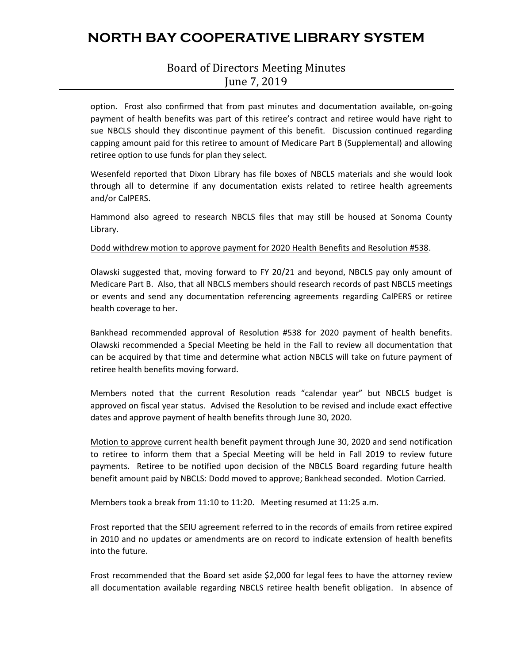## Board of Directors Meeting Minutes June 7, 2019

option. Frost also confirmed that from past minutes and documentation available, on-going payment of health benefits was part of this retiree's contract and retiree would have right to sue NBCLS should they discontinue payment of this benefit. Discussion continued regarding capping amount paid for this retiree to amount of Medicare Part B (Supplemental) and allowing retiree option to use funds for plan they select.

Wesenfeld reported that Dixon Library has file boxes of NBCLS materials and she would look through all to determine if any documentation exists related to retiree health agreements and/or CalPERS.

Hammond also agreed to research NBCLS files that may still be housed at Sonoma County Library.

Dodd withdrew motion to approve payment for 2020 Health Benefits and Resolution #538.

Olawski suggested that, moving forward to FY 20/21 and beyond, NBCLS pay only amount of Medicare Part B. Also, that all NBCLS members should research records of past NBCLS meetings or events and send any documentation referencing agreements regarding CalPERS or retiree health coverage to her.

Bankhead recommended approval of Resolution #538 for 2020 payment of health benefits. Olawski recommended a Special Meeting be held in the Fall to review all documentation that can be acquired by that time and determine what action NBCLS will take on future payment of retiree health benefits moving forward.

Members noted that the current Resolution reads "calendar year" but NBCLS budget is approved on fiscal year status. Advised the Resolution to be revised and include exact effective dates and approve payment of health benefits through June 30, 2020.

Motion to approve current health benefit payment through June 30, 2020 and send notification to retiree to inform them that a Special Meeting will be held in Fall 2019 to review future payments. Retiree to be notified upon decision of the NBCLS Board regarding future health benefit amount paid by NBCLS: Dodd moved to approve; Bankhead seconded. Motion Carried.

Members took a break from 11:10 to 11:20. Meeting resumed at 11:25 a.m.

Frost reported that the SEIU agreement referred to in the records of emails from retiree expired in 2010 and no updates or amendments are on record to indicate extension of health benefits into the future.

Frost recommended that the Board set aside \$2,000 for legal fees to have the attorney review all documentation available regarding NBCLS retiree health benefit obligation. In absence of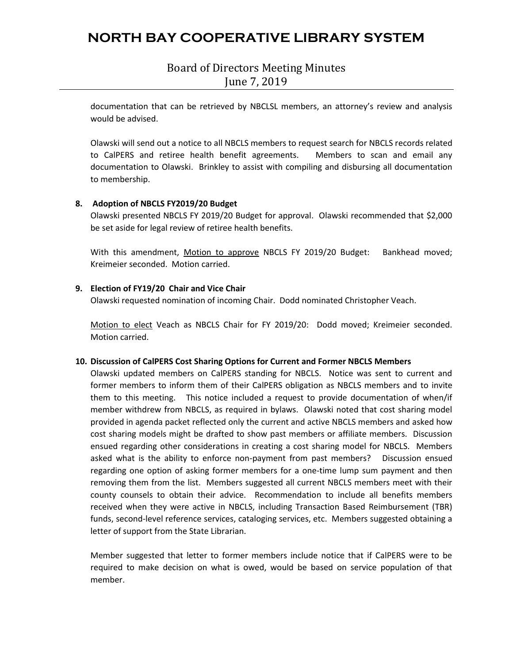Board of Directors Meeting Minutes June 7, 2019

documentation that can be retrieved by NBCLSL members, an attorney's review and analysis would be advised.

Olawski will send out a notice to all NBCLS members to request search for NBCLS records related to CalPERS and retiree health benefit agreements. Members to scan and email any documentation to Olawski. Brinkley to assist with compiling and disbursing all documentation to membership.

### **8. Adoption of NBCLS FY2019/20 Budget**

Olawski presented NBCLS FY 2019/20 Budget for approval. Olawski recommended that \$2,000 be set aside for legal review of retiree health benefits.

With this amendment, Motion to approve NBCLS FY 2019/20 Budget: Bankhead moved; Kreimeier seconded. Motion carried.

### **9. Election of FY19/20 Chair and Vice Chair**

Olawski requested nomination of incoming Chair. Dodd nominated Christopher Veach.

Motion to elect Veach as NBCLS Chair for FY 2019/20: Dodd moved; Kreimeier seconded. Motion carried.

#### **10. Discussion of CalPERS Cost Sharing Options for Current and Former NBCLS Members**

Olawski updated members on CalPERS standing for NBCLS. Notice was sent to current and former members to inform them of their CalPERS obligation as NBCLS members and to invite them to this meeting. This notice included a request to provide documentation of when/if member withdrew from NBCLS, as required in bylaws. Olawski noted that cost sharing model provided in agenda packet reflected only the current and active NBCLS members and asked how cost sharing models might be drafted to show past members or affiliate members. Discussion ensued regarding other considerations in creating a cost sharing model for NBCLS. Members asked what is the ability to enforce non-payment from past members? Discussion ensued regarding one option of asking former members for a one-time lump sum payment and then removing them from the list. Members suggested all current NBCLS members meet with their county counsels to obtain their advice. Recommendation to include all benefits members received when they were active in NBCLS, including Transaction Based Reimbursement (TBR) funds, second-level reference services, cataloging services, etc. Members suggested obtaining a letter of support from the State Librarian.

Member suggested that letter to former members include notice that if CalPERS were to be required to make decision on what is owed, would be based on service population of that member.